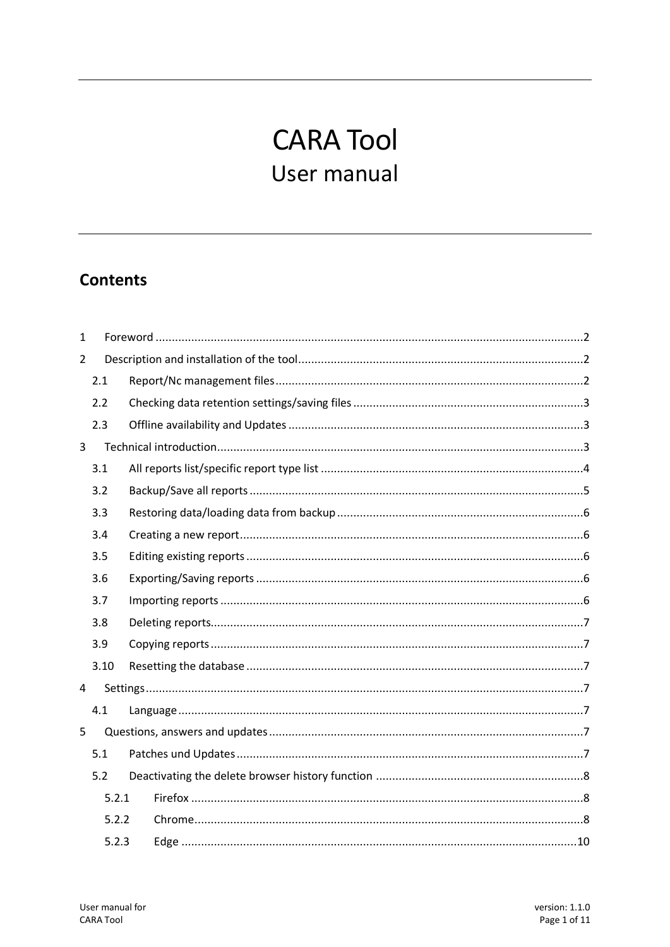# **CARA Tool** User manual

# **Contents**

| $\mathbf{1}$   |       |  |
|----------------|-------|--|
| $\overline{2}$ |       |  |
|                | 2.1   |  |
|                | 2.2   |  |
|                | 2.3   |  |
| 3              |       |  |
|                | 3.1   |  |
|                | 3.2   |  |
|                | 3.3   |  |
|                | 3.4   |  |
|                | 3.5   |  |
|                | 3.6   |  |
|                | 3.7   |  |
|                | 3.8   |  |
|                | 3.9   |  |
|                | 3.10  |  |
| 4              |       |  |
|                | 4.1   |  |
| 5              |       |  |
|                | 5.1   |  |
|                | 5.2   |  |
|                | 5.2.1 |  |
|                | 5.2.2 |  |
|                | 5.2.3 |  |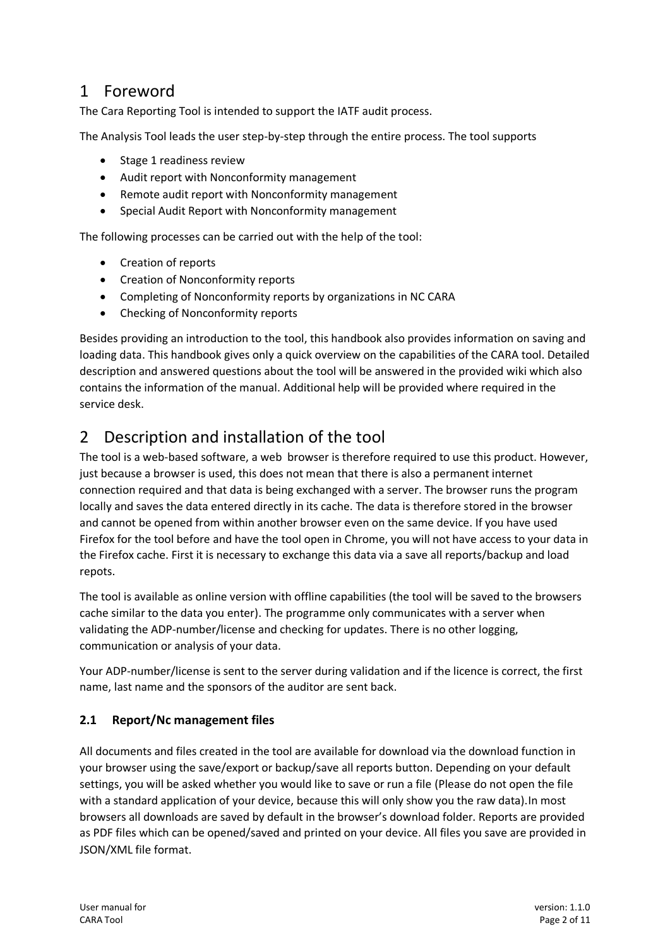# <span id="page-1-0"></span>1 Foreword

The Cara Reporting Tool is intended to support the IATF audit process.

The Analysis Tool leads the user step-by-step through the entire process. The tool supports

- Stage 1 readiness review
- Audit report with Nonconformity management
- Remote audit report with Nonconformity management
- Special Audit Report with Nonconformity management

The following processes can be carried out with the help of the tool:

- Creation of reports
- Creation of Nonconformity reports
- Completing of Nonconformity reports by organizations in NC CARA
- Checking of Nonconformity reports

Besides providing an introduction to the tool, this handbook also provides information on saving and loading data. This handbook gives only a quick overview on the capabilities of the CARA tool. Detailed description and answered questions about the tool will be answered in the provided wiki which also contains the information of the manual. Additional help will be provided where required in the service desk.

# <span id="page-1-1"></span>2 Description and installation of the tool

The tool is a web-based software, a web browser is therefore required to use this product. However, just because a browser is used, this does not mean that there is also a permanent internet connection required and that data is being exchanged with a server. The browser runs the program locally and saves the data entered directly in its cache. The data is therefore stored in the browser and cannot be opened from within another browser even on the same device. If you have used Firefox for the tool before and have the tool open in Chrome, you will not have access to your data in the Firefox cache. First it is necessary to exchange this data via a save all reports/backup and load repots.

The tool is available as online version with offline capabilities (the tool will be saved to the browsers cache similar to the data you enter). The programme only communicates with a server when validating the ADP-number/license and checking for updates. There is no other logging, communication or analysis of your data.

Your ADP-number/license is sent to the server during validation and if the licence is correct, the first name, last name and the sponsors of the auditor are sent back.

#### <span id="page-1-2"></span>**2.1 Report/Nc management files**

All documents and files created in the tool are available for download via the download function in your browser using the save/export or backup/save all reports button. Depending on your default settings, you will be asked whether you would like to save or run a file (Please do not open the file with a standard application of your device, because this will only show you the raw data).In most browsers all downloads are saved by default in the browser's download folder. Reports are provided as PDF files which can be opened/saved and printed on your device. All files you save are provided in JSON/XML file format.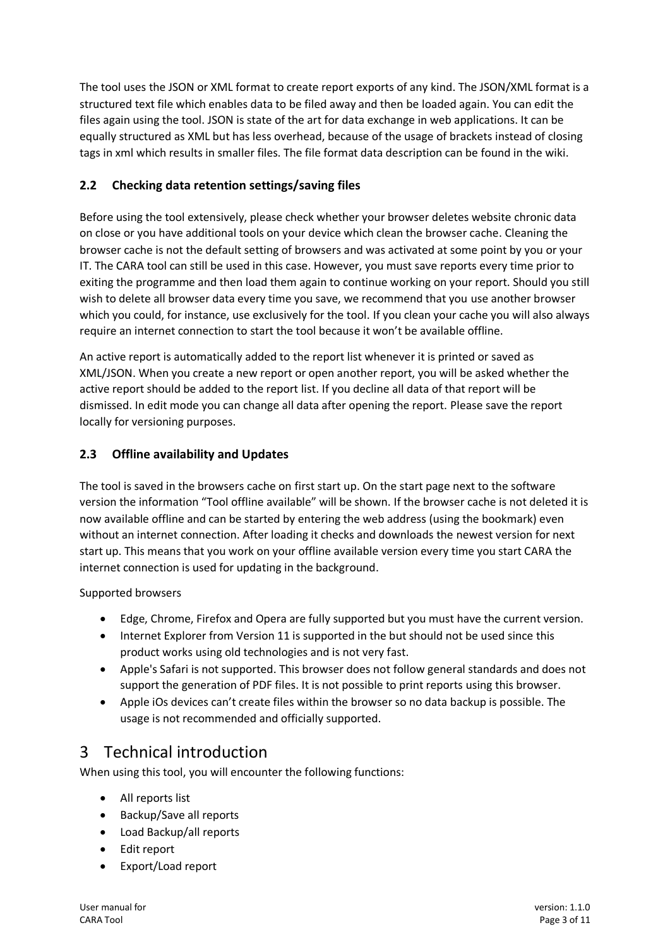The tool uses the JSON or XML format to create report exports of any kind. The JSON/XML format is a structured text file which enables data to be filed away and then be loaded again. You can edit the files again using the tool. JSON is state of the art for data exchange in web applications. It can be equally structured as XML but has less overhead, because of the usage of brackets instead of closing tags in xml which results in smaller files. The file format data description can be found in the wiki.

## <span id="page-2-0"></span>**2.2 Checking data retention settings/saving files**

Before using the tool extensively, please check whether your browser deletes website chronic data on close or you have additional tools on your device which clean the browser cache. Cleaning the browser cache is not the default setting of browsers and was activated at some point by you or your IT. The CARA tool can still be used in this case. However, you must save reports every time prior to exiting the programme and then load them again to continue working on your report. Should you still wish to delete all browser data every time you save, we recommend that you use another browser which you could, for instance, use exclusively for the tool. If you clean your cache you will also always require an internet connection to start the tool because it won't be available offline.

An active report is automatically added to the report list whenever it is printed or saved as XML/JSON. When you create a new report or open another report, you will be asked whether the active report should be added to the report list. If you decline all data of that report will be dismissed. In edit mode you can change all data after opening the report. Please save the report locally for versioning purposes.

## <span id="page-2-1"></span>**2.3 Offline availability and Updates**

The tool is saved in the browsers cache on first start up. On the start page next to the software version the information "Tool offline available" will be shown. If the browser cache is not deleted it is now available offline and can be started by entering the web address (using the bookmark) even without an internet connection. After loading it checks and downloads the newest version for next start up. This means that you work on your offline available version every time you start CARA the internet connection is used for updating in the background.

Supported browsers

- Edge, Chrome, Firefox and Opera are fully supported but you must have the current version.
- Internet Explorer from Version 11 is supported in the but should not be used since this product works using old technologies and is not very fast.
- Apple's Safari is not supported. This browser does not follow general standards and does not support the generation of PDF files. It is not possible to print reports using this browser.
- Apple iOs devices can't create files within the browser so no data backup is possible. The usage is not recommended and officially supported.

# <span id="page-2-2"></span>3 Technical introduction

When using this tool, you will encounter the following functions:

- All reports list
- Backup/Save all reports
- Load Backup/all reports
- Edit report
- Export/Load report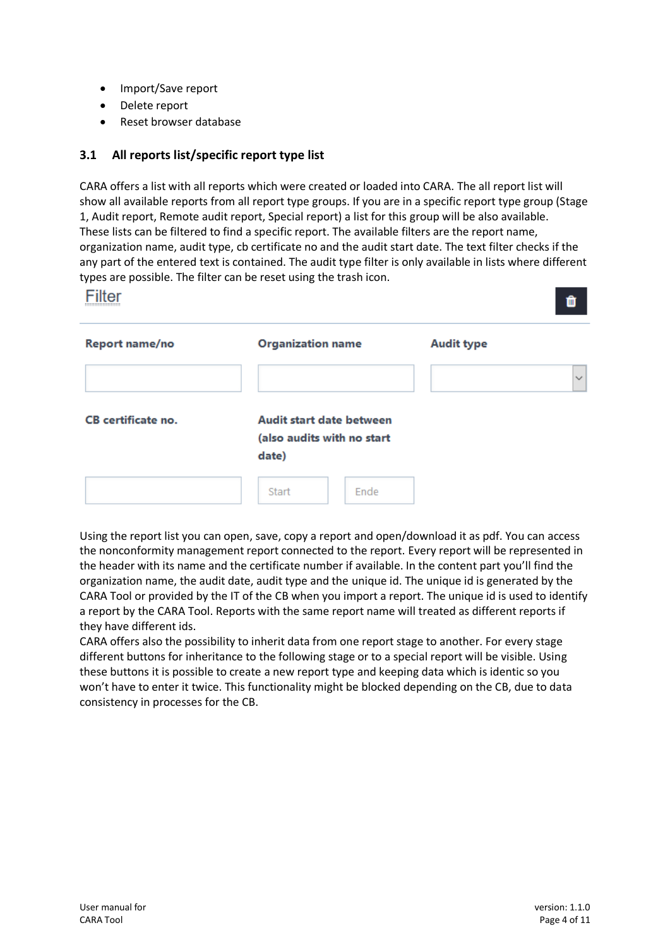- Import/Save report
- Delete report
- Reset browser database

#### <span id="page-3-0"></span>**3.1 All reports list/specific report type list**

CARA offers a list with all reports which were created or loaded into CARA. The all report list will show all available reports from all report type groups. If you are in a specific report type group (Stage 1, Audit report, Remote audit report, Special report) a list for this group will be also available. These lists can be filtered to find a specific report. The available filters are the report name, organization name, audit type, cb certificate no and the audit start date. The text filter checks if the any part of the entered text is contained. The audit type filter is only available in lists where different types are possible. The filter can be reset using the trash icon.

|                           |                                                                        | û                 |
|---------------------------|------------------------------------------------------------------------|-------------------|
| Report name/no            | <b>Organization name</b>                                               | <b>Audit type</b> |
| <b>CB</b> certificate no. | <b>Audit start date between</b><br>(also audits with no start<br>date) | $\checkmark$      |
|                           | Ende<br>Start                                                          |                   |

Using the report list you can open, save, copy a report and open/download it as pdf. You can access the nonconformity management report connected to the report. Every report will be represented in the header with its name and the certificate number if available. In the content part you'll find the organization name, the audit date, audit type and the unique id. The unique id is generated by the CARA Tool or provided by the IT of the CB when you import a report. The unique id is used to identify a report by the CARA Tool. Reports with the same report name will treated as different reports if they have different ids.

CARA offers also the possibility to inherit data from one report stage to another. For every stage different buttons for inheritance to the following stage or to a special report will be visible. Using these buttons it is possible to create a new report type and keeping data which is identic so you won't have to enter it twice. This functionality might be blocked depending on the CB, due to data consistency in processes for the CB.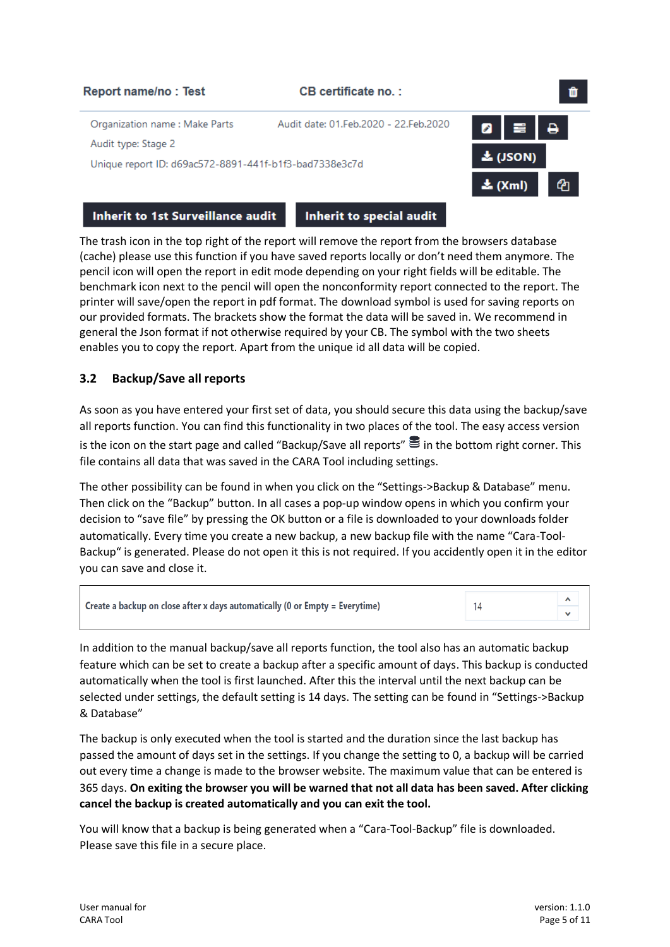

**Inherit to 1st Surveillance audit** 

**Inherit to special audit** 

The trash icon in the top right of the report will remove the report from the browsers database (cache) please use this function if you have saved reports locally or don't need them anymore. The pencil icon will open the report in edit mode depending on your right fields will be editable. The benchmark icon next to the pencil will open the nonconformity report connected to the report. The printer will save/open the report in pdf format. The download symbol is used for saving reports on our provided formats. The brackets show the format the data will be saved in. We recommend in general the Json format if not otherwise required by your CB. The symbol with the two sheets enables you to copy the report. Apart from the unique id all data will be copied.

#### <span id="page-4-0"></span>**3.2 Backup/Save all reports**

As soon as you have entered your first set of data, you should secure this data using the backup/save all reports function. You can find this functionality in two places of the tool. The easy access version is the icon on the start page and called "Backup/Save all reports"  $\geq$  in the bottom right corner. This file contains all data that was saved in the CARA Tool including settings.

The other possibility can be found in when you click on the "Settings->Backup & Database" menu. Then click on the "Backup" button. In all cases a pop-up window opens in which you confirm your decision to "save file" by pressing the OK button or a file is downloaded to your downloads folder automatically. Every time you create a new backup, a new backup file with the name "Cara-Tool-Backup" is generated. Please do not open it this is not required. If you accidently open it in the editor you can save and close it.

| <b>Create a backup on close after x days automatically (0 or Empty = Everytime)</b> |  |
|-------------------------------------------------------------------------------------|--|
|                                                                                     |  |

In addition to the manual backup/save all reports function, the tool also has an automatic backup feature which can be set to create a backup after a specific amount of days. This backup is conducted automatically when the tool is first launched. After this the interval until the next backup can be selected under settings, the default setting is 14 days. The setting can be found in "Settings->Backup & Database"

The backup is only executed when the tool is started and the duration since the last backup has passed the amount of days set in the settings. If you change the setting to 0, a backup will be carried out every time a change is made to the browser website. The maximum value that can be entered is 365 days. **On exiting the browser you will be warned that not all data has been saved. After clicking cancel the backup is created automatically and you can exit the tool.**

You will know that a backup is being generated when a "Cara-Tool-Backup" file is downloaded. Please save this file in a secure place.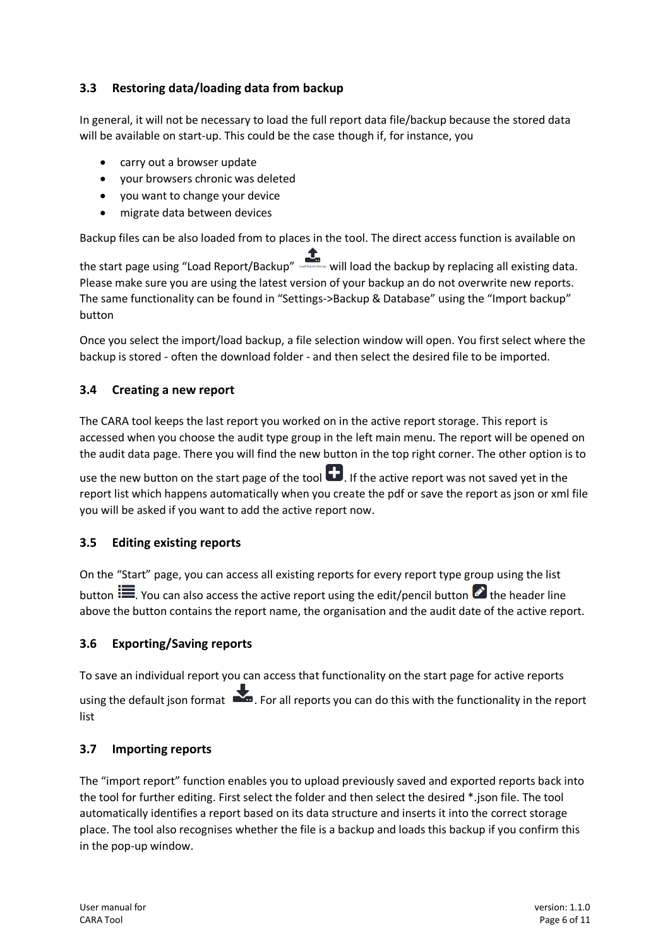## <span id="page-5-0"></span>**3.3 Restoring data/loading data from backup**

In general, it will not be necessary to load the full report data file/backup because the stored data will be available on start-up. This could be the case though if, for instance, you

- carry out a browser update
- your browsers chronic was deleted
- you want to change your device
- migrate data between devices

Backup files can be also loaded from to places in the tool. The direct access function is available on

the start page using "Load Report/Backup" will load the backup by replacing all existing data. Please make sure you are using the latest version of your backup an do not overwrite new reports. The same functionality can be found in "Settings->Backup & Database" using the "Import backup" button

Once you select the import/load backup, a file selection window will open. You first select where the backup is stored - often the download folder - and then select the desired file to be imported.

#### <span id="page-5-1"></span>**3.4 Creating a new report**

The CARA tool keeps the last report you worked on in the active report storage. This report is accessed when you choose the audit type group in the left main menu. The report will be opened on the audit data page. There you will find the new button in the top right corner. The other option is to

use the new button on the start page of the tool  $\Box$ . If the active report was not saved yet in the report list which happens automatically when you create the pdf or save the report as json or xml file you will be asked if you want to add the active report now.

#### <span id="page-5-2"></span>**3.5 Editing existing reports**

On the "Start" page, you can access all existing reports for every report type group using the list button  $\mathbf{E}$ . You can also access the active report using the edit/pencil button  $\mathbf{E}$  the header line above the button contains the report name, the organisation and the audit date of the active report.

#### <span id="page-5-3"></span>**3.6 Exporting/Saving reports**

To save an individual report you can access that functionality on the start page for active reports using the default json format . For all reports you can do this with the functionality in the report list

#### <span id="page-5-4"></span>**3.7 Importing reports**

The "import report" function enables you to upload previously saved and exported reports back into the tool for further editing. First select the folder and then select the desired \*.json file. The tool automatically identifies a report based on its data structure and inserts it into the correct storage place. The tool also recognises whether the file is a backup and loads this backup if you confirm this in the pop-up window.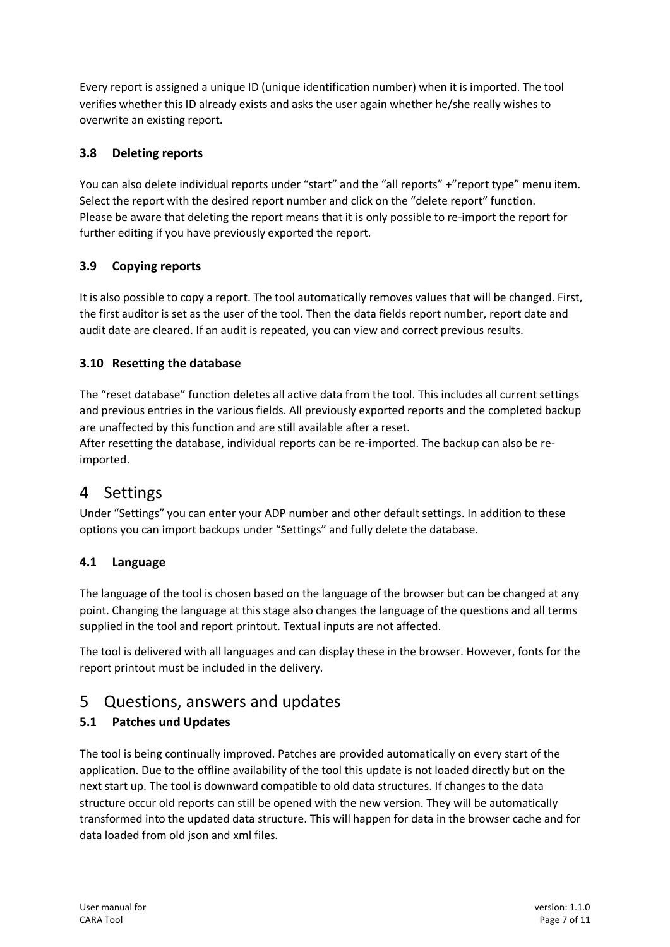Every report is assigned a unique ID (unique identification number) when it is imported. The tool verifies whether this ID already exists and asks the user again whether he/she really wishes to overwrite an existing report.

## <span id="page-6-0"></span>**3.8 Deleting reports**

You can also delete individual reports under "start" and the "all reports" +"report type" menu item. Select the report with the desired report number and click on the "delete report" function. Please be aware that deleting the report means that it is only possible to re-import the report for further editing if you have previously exported the report.

## <span id="page-6-1"></span>**3.9 Copying reports**

It is also possible to copy a report. The tool automatically removes values that will be changed. First, the first auditor is set as the user of the tool. Then the data fields report number, report date and audit date are cleared. If an audit is repeated, you can view and correct previous results.

#### <span id="page-6-2"></span>**3.10 Resetting the database**

The "reset database" function deletes all active data from the tool. This includes all current settings and previous entries in the various fields. All previously exported reports and the completed backup are unaffected by this function and are still available after a reset.

After resetting the database, individual reports can be re-imported. The backup can also be reimported.

# <span id="page-6-3"></span>4 Settings

Under "Settings" you can enter your ADP number and other default settings. In addition to these options you can import backups under "Settings" and fully delete the database.

#### <span id="page-6-4"></span>**4.1 Language**

The language of the tool is chosen based on the language of the browser but can be changed at any point. Changing the language at this stage also changes the language of the questions and all terms supplied in the tool and report printout. Textual inputs are not affected.

The tool is delivered with all languages and can display these in the browser. However, fonts for the report printout must be included in the delivery.

# <span id="page-6-5"></span>5 Questions, answers and updates

## <span id="page-6-6"></span>**5.1 Patches und Updates**

The tool is being continually improved. Patches are provided automatically on every start of the application. Due to the offline availability of the tool this update is not loaded directly but on the next start up. The tool is downward compatible to old data structures. If changes to the data structure occur old reports can still be opened with the new version. They will be automatically transformed into the updated data structure. This will happen for data in the browser cache and for data loaded from old json and xml files.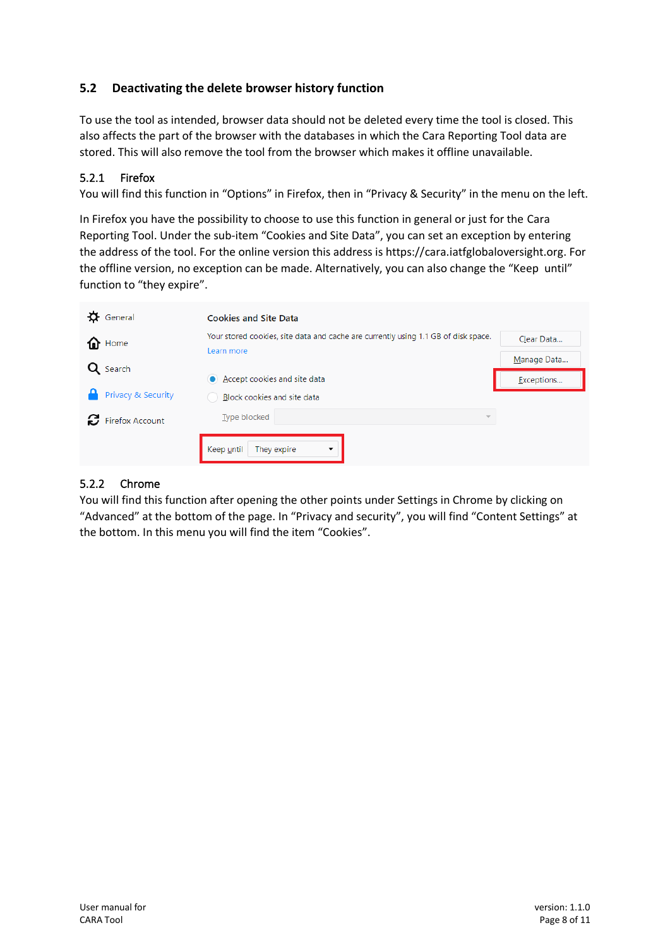#### <span id="page-7-0"></span>**5.2 Deactivating the delete browser history function**

To use the tool as intended, browser data should not be deleted every time the tool is closed. This also affects the part of the browser with the databases in which the Cara Reporting Tool data are stored. This will also remove the tool from the browser which makes it offline unavailable.

#### <span id="page-7-1"></span>5.2.1 Firefox

You will find this function in "Options" in Firefox, then in "Privacy & Security" in the menu on the left.

In Firefox you have the possibility to choose to use this function in general or just for the Cara Reporting Tool. Under the sub-item "Cookies and Site Data", you can set an exception by entering the address of the tool. For the online version this address is https://cara.iatfglobaloversight.org. For the offline version, no exception can be made. Alternatively, you can also change the "Keep until" function to "they expire".

| General                  | <b>Cookies and Site Data</b>                                                       |             |
|--------------------------|------------------------------------------------------------------------------------|-------------|
| ⋒<br>Home                | Your stored cookies, site data and cache are currently using 1.1 GB of disk space. | Clear Data  |
| Q Search                 | Learn more                                                                         | Manage Data |
|                          | Accept cookies and site data                                                       | Exceptions  |
| Privacy & Security       | Block cookies and site data                                                        |             |
| <b>C</b> Firefox Account | Type blocked<br>$\overline{\phantom{a}}$                                           |             |
|                          | They expire<br>Keep until<br>$\overline{\phantom{a}}$                              |             |

#### <span id="page-7-2"></span>5.2.2 Chrome

You will find this function after opening the other points under Settings in Chrome by clicking on "Advanced" at the bottom of the page. In "Privacy and security", you will find "Content Settings" at the bottom. In this menu you will find the item "Cookies".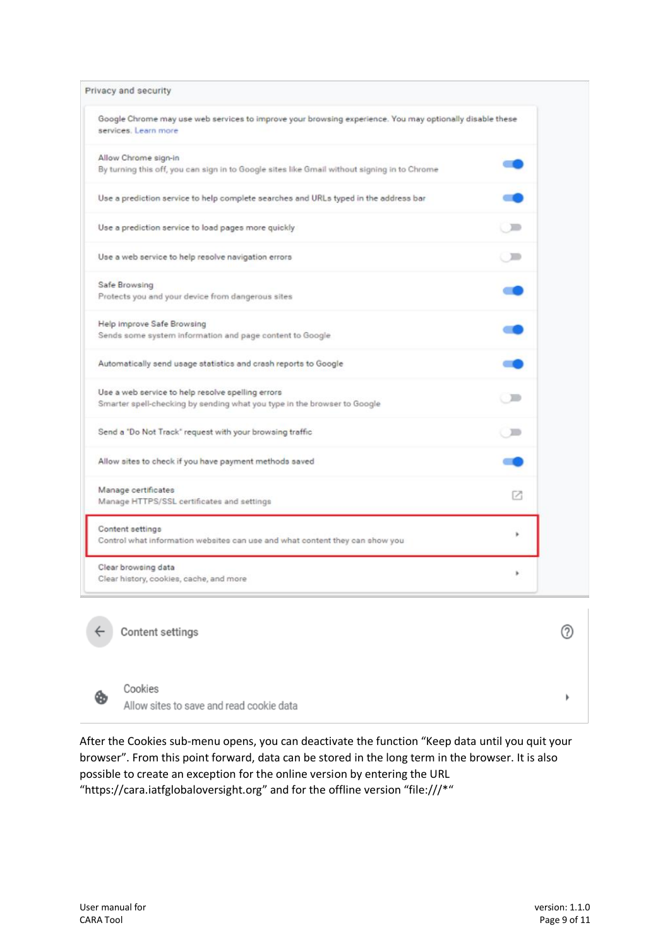| Privacy and security                                                                                                             |        |
|----------------------------------------------------------------------------------------------------------------------------------|--------|
| Google Chrome may use web services to improve your browsing experience. You may optionally disable these<br>services. Learn more |        |
| Allow Chrome sign-in<br>By turning this off, you can sign in to Google sites like Gmail without signing in to Chrome             |        |
| Use a prediction service to help complete searches and URLs typed in the address bar                                             |        |
| Use a prediction service to load pages more quickly                                                                              | $\Box$ |
| Use a web service to help resolve navigation errors                                                                              | $\Box$ |
| Safe Browsing<br>Protects you and your device from dangerous sites                                                               |        |
| Help Improve Safe Browsing<br>Sends some system information and page content to Google                                           |        |
| Automatically send usage statistics and crash reports to Google                                                                  |        |
| Use a web service to help resolve spelling errors<br>Smarter spell-checking by sending what you type in the browser to Google    | $\Box$ |
| Send a 'Do Not Track' request with your browsing traffic                                                                         | ਾ≡     |
| Allow sites to check if you have payment methods saved                                                                           |        |
| Manage certificates<br>Manage HTTPS/SSL certificates and settings                                                                | m      |
| Content settings<br>Control what information websites can use and what content they can show you                                 |        |
| Clear browsing data<br>Clear history, cookies, cache, and more                                                                   | ۶      |



Content settings

 $(2)$ 

 $\blacktriangleright$ 

Øb

Cookies Allow sites to save and read cookie data

After the Cookies sub-menu opens, you can deactivate the function "Keep data until you quit your browser". From this point forward, data can be stored in the long term in the browser. It is also possible to create an exception for the online version by entering the URL "https://cara.iatfglobaloversight.org" and for the offline version "file:///\*"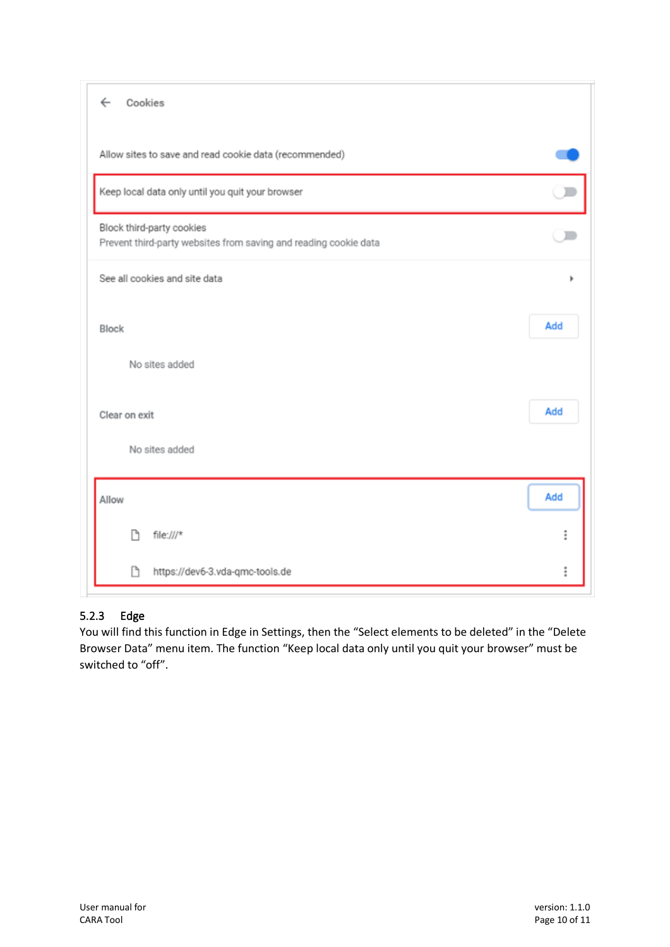| Cookies<br>$\leftarrow$                                                                       |     |
|-----------------------------------------------------------------------------------------------|-----|
| Allow sites to save and read cookie data (recommended)                                        |     |
| Keep local data only until you quit your browser                                              |     |
| Block third-party cookies<br>Prevent third-party websites from saving and reading cookie data |     |
| See all cookies and site data                                                                 |     |
| Block                                                                                         | Add |
| No sites added                                                                                |     |
| Clear on exit                                                                                 | Add |
| No sites added                                                                                |     |
| Allow                                                                                         | Add |
| ħ<br>$file:///*$                                                                              | i   |
| ħ<br>https://dev6-3.vda-qmc-tools.de                                                          |     |

## <span id="page-9-0"></span>5.2.3 Edge

You will find this function in Edge in Settings, then the "Select elements to be deleted" in the "Delete Browser Data" menu item. The function "Keep local data only until you quit your browser" must be switched to "off".